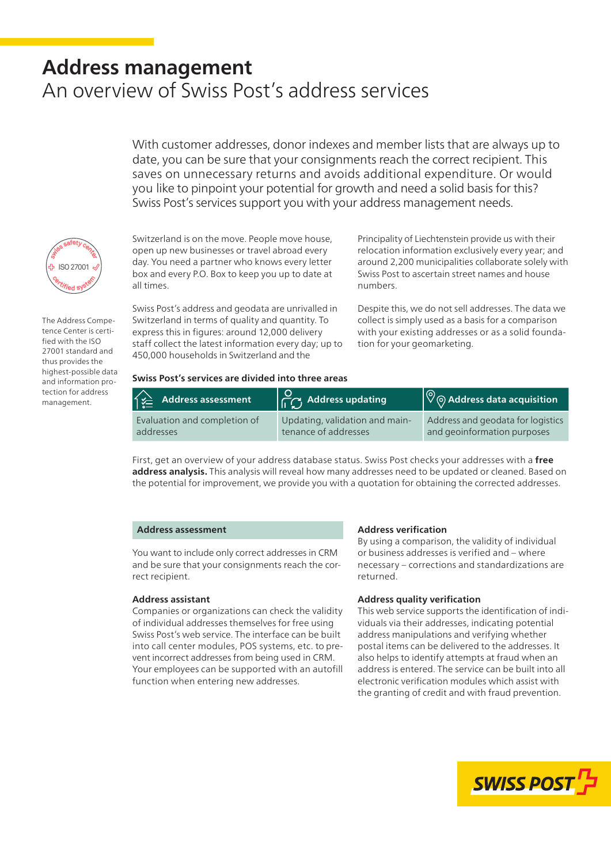# **Address management** An overview of Swiss Post's address services

With customer addresses, donor indexes and member lists that are always up to date, you can be sure that your consignments reach the correct recipient. This saves on unnecessary returns and avoids additional expenditure. Or would you like to pinpoint your potential for growth and need a solid basis for this? Swiss Post's services support you with your address management needs.



The Address Competence Center is certified with the ISO 27001 standard and thus provides the highest-possible data and information protection for address management.

Switzerland is on the move. People move house, open up new businesses or travel abroad every day. You need a partner who knows every letter box and every P.O. Box to keep you up to date at all times.

Swiss Post's address and geodata are unrivalled in Switzerland in terms of quality and quantity. To express this in figures: around 12,000 delivery staff collect the latest information every day; up to 450,000 households in Switzerland and the

Principality of Liechtenstein provide us with their relocation information exclusively every year; and around 2,200 municipalities collaborate solely with Swiss Post to ascertain street names and house numbers.

Despite this, we do not sell addresses. The data we collect is simply used as a basis for a comparison with your existing addresses or as a solid foundation for your geomarketing.

## **Swiss Post's services are divided into three areas**

| $\widehat{f_{\textbf{y}}^{\textbf{y}}}=$ Address assessment | $\begin{bmatrix} 0 \\ \sqrt{1} \end{bmatrix}$ Address updating | $\ket{\heartsuit}$ Address data acquisition |
|-------------------------------------------------------------|----------------------------------------------------------------|---------------------------------------------|
| Evaluation and completion of                                | Updating, validation and main-                                 | Address and geodata for logistics           |
| addresses                                                   | tenance of addresses                                           | and geoinformation purposes                 |

First, get an overview of your address database status. Swiss Post checks your addresses with a **free address analysis.** This analysis will reveal how many addresses need to be updated or cleaned. Based on the potential for improvement, we provide you with a quotation for obtaining the corrected addresses.

#### **Address assessment**

You want to include only correct addresses in CRM and be sure that your consignments reach the correct recipient.

# **Address assistant**

Companies or organizations can check the validity of individual addresses themselves for free using Swiss Post's web service. The interface can be built into call center modules, POS systems, etc. to prevent incorrect addresses from being used in CRM. Your employees can be supported with an autofill function when entering new addresses.

#### **Address verification**

By using a comparison, the validity of individual or business addresses is verified and – where necessary – corrections and standardizations are returned.

# **Address quality verification**

This web service supports the identification of individuals via their addresses, indicating potential address manipulations and verifying whether postal items can be delivered to the addresses. It also helps to identify attempts at fraud when an address is entered. The service can be built into all electronic verification modules which assist with the granting of credit and with fraud prevention.

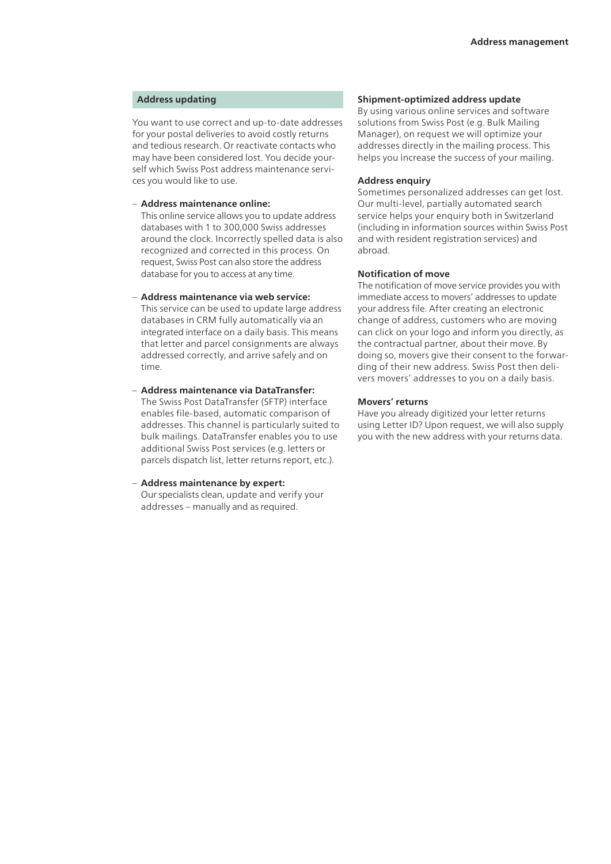# **Address updating**

You want to use correct and up-to-date addresses for your postal deliveries to avoid costly returns and tedious research. Or reactivate contacts who may have been considered lost. You decide yourself which Swiss Post address maintenance services you would like to use.

#### – **Address maintenance online:**

This online service allows you to update address databases with 1 to 300,000 Swiss addresses around the clock. Incorrectly spelled data is also recognized and corrected in this process. On request, Swiss Post can also store the address database for you to access at any time.

# – **Address maintenance via web service:**

This service can be used to update large address databases in CRM fully automatically via an integrated interface on a daily basis. This means that letter and parcel consignments are always addressed correctly, and arrive safely and on time.

– **Address maintenance via DataTransfer:** The Swiss Post DataTransfer (SFTP) interface enables file-based, automatic comparison of addresses. This channel is particularly suited to bulk mailings. DataTransfer enables you to use additional Swiss Post services (e.g. letters or parcels dispatch list, letter returns report, etc.).

#### – **Address maintenance by expert:**  Our specialists clean, update and verify your addresses – manually and as required.

# **Shipment-optimized address update**

By using various online services and software solutions from Swiss Post (e.g. Bulk Mailing Manager), on request we will optimize your addresses directly in the mailing process. This helps you increase the success of your mailing.

#### **Address enquiry**

Sometimes personalized addresses can get lost. Our multi-level, partially automated search service helps your enquiry both in Switzerland (including in information sources within Swiss Post and with resident registration services) and abroad.

#### **Notification of move**

The notification of move service provides you with immediate access to movers' addresses to update your address file. After creating an electronic change of address, customers who are moving can click on your logo and inform you directly, as the contractual partner, about their move. By doing so, movers give their consent to the forwarding of their new address. Swiss Post then delivers movers' addresses to you on a daily basis.

## **Movers' returns**

Have you already digitized your letter returns using Letter ID? Upon request, we will also supply you with the new address with your returns data.